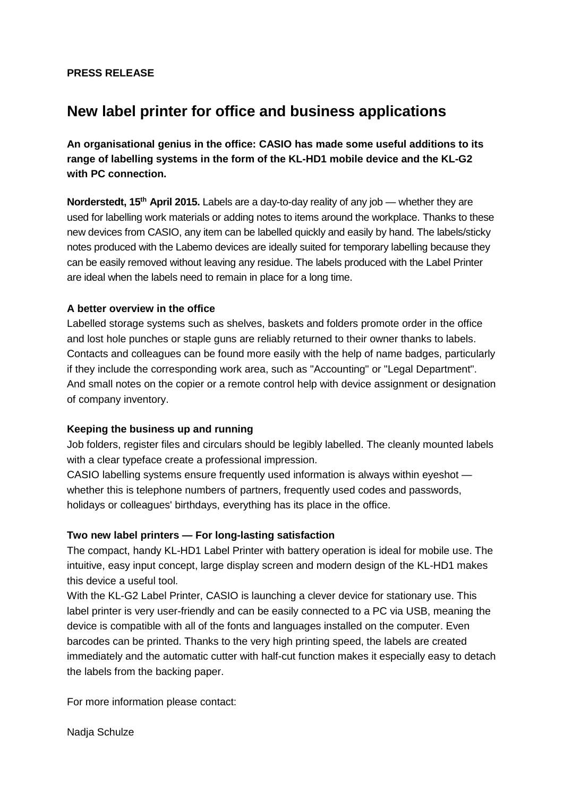## **PRESS RELEASE**

# **New label printer for office and business applications**

**An organisational genius in the office: CASIO has made some useful additions to its range of labelling systems in the form of the KL-HD1 mobile device and the KL-G2 with PC connection.** 

**Norderstedt, 15th April 2015.** Labels are a day-to-day reality of any job — whether they are used for labelling work materials or adding notes to items around the workplace. Thanks to these new devices from CASIO, any item can be labelled quickly and easily by hand. The labels/sticky notes produced with the Labemo devices are ideally suited for temporary labelling because they can be easily removed without leaving any residue. The labels produced with the Label Printer are ideal when the labels need to remain in place for a long time.

### **A better overview in the office**

Labelled storage systems such as shelves, baskets and folders promote order in the office and lost hole punches or staple guns are reliably returned to their owner thanks to labels. Contacts and colleagues can be found more easily with the help of name badges, particularly if they include the corresponding work area, such as "Accounting" or "Legal Department". And small notes on the copier or a remote control help with device assignment or designation of company inventory.

### **Keeping the business up and running**

Job folders, register files and circulars should be legibly labelled. The cleanly mounted labels with a clear typeface create a professional impression.

CASIO labelling systems ensure frequently used information is always within eyeshot whether this is telephone numbers of partners, frequently used codes and passwords, holidays or colleagues' birthdays, everything has its place in the office.

### **Two new label printers — For long-lasting satisfaction**

The compact, handy KL-HD1 Label Printer with battery operation is ideal for mobile use. The intuitive, easy input concept, large display screen and modern design of the KL-HD1 makes this device a useful tool.

With the KL-G2 Label Printer, CASIO is launching a clever device for stationary use. This label printer is very user-friendly and can be easily connected to a PC via USB, meaning the device is compatible with all of the fonts and languages installed on the computer. Even barcodes can be printed. Thanks to the very high printing speed, the labels are created immediately and the automatic cutter with half-cut function makes it especially easy to detach the labels from the backing paper.

For more information please contact:

Nadja Schulze